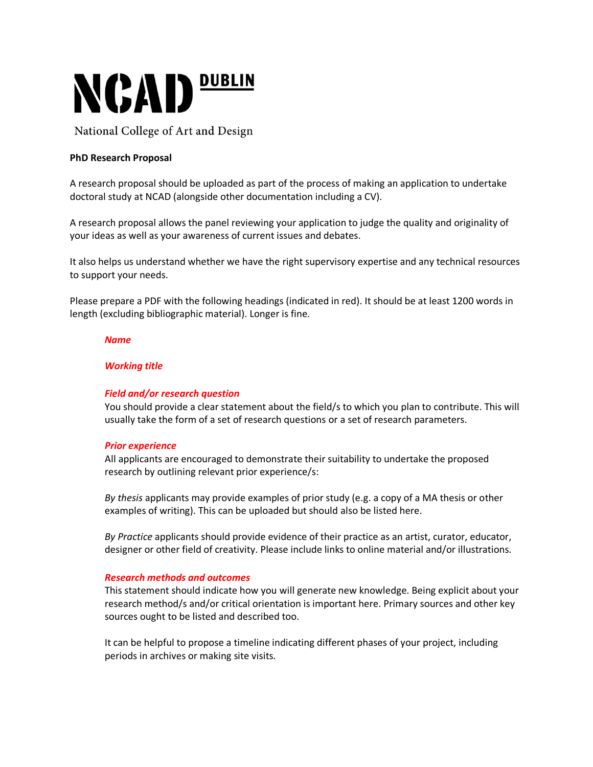

National College of Art and Design

# **PhD Research Proposal**

A research proposal should be uploaded as part of the process of making an application to undertake doctoral study at NCAD (alongside other documentation including a CV).

A research proposal allows the panel reviewing your application to judge the quality and originality of your ideas as well as your awareness of current issues and debates.

It also helps us understand whether we have the right supervisory expertise and any technical resources to support your needs.

Please prepare a PDF with the following headings (indicated in red). It should be at least 1200 words in length (excluding bibliographic material). Longer is fine.

#### *Name*

## *Working title*

## *Field and/or research question*

You should provide a clear statement about the field/s to which you plan to contribute. This will usually take the form of a set of research questions or a set of research parameters.

## *Prior experience*

All applicants are encouraged to demonstrate their suitability to undertake the proposed research by outlining relevant prior experience/s:

*By thesis* applicants may provide examples of prior study (e.g. a copy of a MA thesis or other examples of writing). This can be uploaded but should also be listed here.

*By Practice* applicants should provide evidence of their practice as an artist, curator, educator, designer or other field of creativity. Please include links to online material and/or illustrations.

## *Research methods and outcomes*

This statement should indicate how you will generate new knowledge. Being explicit about your research method/s and/or critical orientation is important here. Primary sources and other key sources ought to be listed and described too.

It can be helpful to propose a timeline indicating different phases of your project, including periods in archives or making site visits.